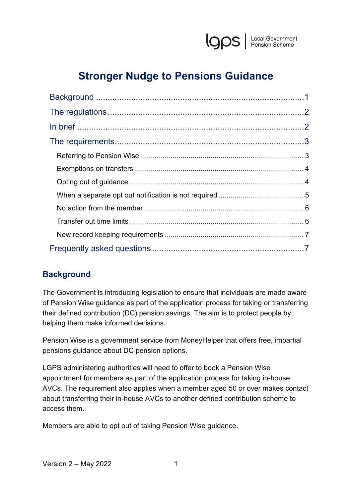

# **Stronger Nudge to Pensions Guidance**

# <span id="page-0-0"></span>**Background**

The Government is introducing legislation to ensure that individuals are made aware of Pension Wise guidance as part of the application process for taking or transferring their defined contribution (DC) pension savings. The aim is to protect people by helping them make informed decisions.

Pension Wise is a government service from MoneyHelper that offers free, impartial pensions guidance about DC pension options.

LGPS administering authorities will need to offer to book a Pension Wise appointment for members as part of the application process for taking in-house AVCs. The requirement also applies when a member aged 50 or over makes contact about transferring their in-house AVCs to another defined contribution scheme to access them.

Members are able to opt out of taking Pension Wise guidance.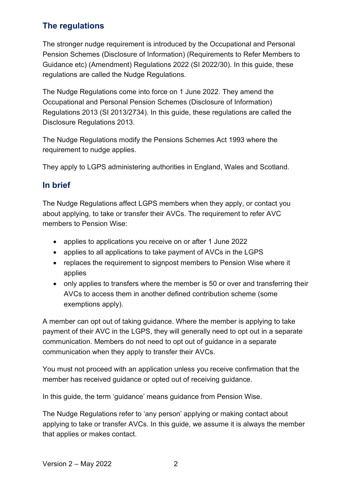# <span id="page-1-0"></span>**The regulations**

The stronger nudge requirement is introduced by the Occupational and Personal Pension Schemes (Disclosure of Information) (Requirements to Refer Members to Guidance etc) (Amendment) Regulations 2022 (SI 2022/30). In this guide, these regulations are called the Nudge Regulations.

The Nudge Regulations come into force on 1 June 2022. They amend the Occupational and Personal Pension Schemes (Disclosure of Information) Regulations 2013 (SI 2013/2734). In this guide, these regulations are called the Disclosure Regulations 2013.

The Nudge Regulations modify the Pensions Schemes Act 1993 where the requirement to nudge applies.

They apply to LGPS administering authorities in England, Wales and Scotland.

# <span id="page-1-1"></span>**In brief**

The Nudge Regulations affect LGPS members when they apply, or contact you about applying, to take or transfer their AVCs. The requirement to refer AVC members to Pension Wise:

- applies to applications you receive on or after 1 June 2022
- applies to all applications to take payment of AVCs in the LGPS
- replaces the requirement to signpost members to Pension Wise where it applies
- only applies to transfers where the member is 50 or over and transferring their AVCs to access them in another defined contribution scheme (some exemptions apply).

A member can opt out of taking guidance. Where the member is applying to take payment of their AVC in the LGPS, they will generally need to opt out in a separate communication. Members do not need to opt out of guidance in a separate communication when they apply to transfer their AVCs.

You must not proceed with an application unless you receive confirmation that the member has received guidance or opted out of receiving guidance.

In this guide, the term 'guidance' means guidance from Pension Wise.

The Nudge Regulations refer to 'any person' applying or making contact about applying to take or transfer AVCs. In this guide, we assume it is always the member that applies or makes contact.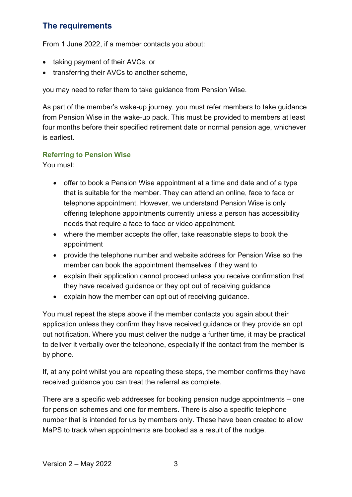# <span id="page-2-0"></span>**The requirements**

From 1 June 2022, if a member contacts you about:

- taking payment of their AVCs, or
- transferring their AVCs to another scheme,

you may need to refer them to take guidance from Pension Wise.

As part of the member's wake-up journey, you must refer members to take guidance from Pension Wise in the wake-up pack. This must be provided to members at least four months before their specified retirement date or normal pension age, whichever is earliest.

### <span id="page-2-1"></span>**Referring to Pension Wise**

You must:

- offer to book a Pension Wise appointment at a time and date and of a type that is suitable for the member. They can attend an online, face to face or telephone appointment. However, we understand Pension Wise is only offering telephone appointments currently unless a person has accessibility needs that require a face to face or video appointment.
- where the member accepts the offer, take reasonable steps to book the appointment
- provide the telephone number and website address for Pension Wise so the member can book the appointment themselves if they want to
- explain their application cannot proceed unless you receive confirmation that they have received guidance or they opt out of receiving guidance
- explain how the member can opt out of receiving guidance.

You must repeat the steps above if the member contacts you again about their application unless they confirm they have received guidance or they provide an opt out notification. Where you must deliver the nudge a further time, it may be practical to deliver it verbally over the telephone, especially if the contact from the member is by phone.

If, at any point whilst you are repeating these steps, the member confirms they have received guidance you can treat the referral as complete.

There are a specific web addresses for booking pension nudge appointments – one for pension schemes and one for members. There is also a specific telephone number that is intended for us by members only. These have been created to allow MaPS to track when appointments are booked as a result of the nudge.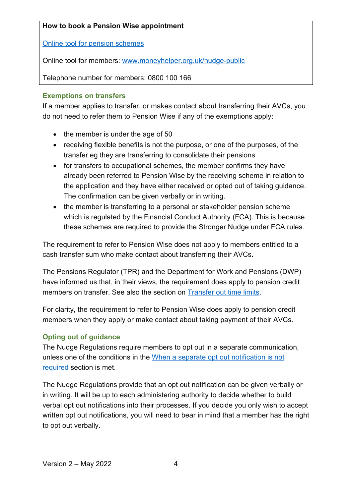### **How to book a Pension Wise appointment**

[Online tool for pension schemes](https://www.moneyhelper.org.uk/en/pensions-and-retirement/pension-wise/pension-wise-providers) 

Online tool for members: [www.moneyhelper.org.uk/nudge-public](http://www.moneyhelper.org.uk/nudge-public)

Telephone number for members: 0800 100 166

### <span id="page-3-0"></span>**Exemptions on transfers**

If a member applies to transfer, or makes contact about transferring their AVCs, you do not need to refer them to Pension Wise if any of the exemptions apply:

- the member is under the age of 50
- receiving flexible benefits is not the purpose, or one of the purposes, of the transfer eg they are transferring to consolidate their pensions
- for transfers to occupational schemes, the member confirms they have already been referred to Pension Wise by the receiving scheme in relation to the application and they have either received or opted out of taking guidance. The confirmation can be given verbally or in writing.
- the member is transferring to a personal or stakeholder pension scheme which is regulated by the Financial Conduct Authority (FCA). This is because these schemes are required to provide the Stronger Nudge under FCA rules.

The requirement to refer to Pension Wise does not apply to members entitled to a cash transfer sum who make contact about transferring their AVCs.

The Pensions Regulator (TPR) and the Department for Work and Pensions (DWP) have informed us that, in their views, the requirement does apply to pension credit members on transfer. See also the section on [Transfer out time limits.](#page-5-1)

For clarity, the requirement to refer to Pension Wise does apply to pension credit members when they apply or make contact about taking payment of their AVCs.

### <span id="page-3-1"></span>**Opting out of guidance**

The Nudge Regulations require members to opt out in a separate communication, unless one of the conditions in the [When a separate opt out notification is not](#page-4-0)  [required](#page-4-0) section is met.

The Nudge Regulations provide that an opt out notification can be given verbally or in writing. It will be up to each administering authority to decide whether to build verbal opt out notifications into their processes. If you decide you only wish to accept written opt out notifications, you will need to bear in mind that a member has the right to opt out verbally.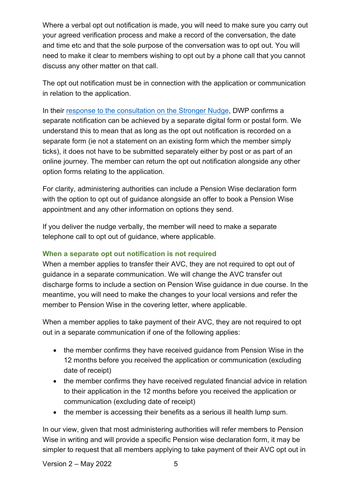Where a verbal opt out notification is made, you will need to make sure you carry out your agreed verification process and make a record of the conversation, the date and time etc and that the sole purpose of the conversation was to opt out. You will need to make it clear to members wishing to opt out by a phone call that you cannot discuss any other matter on that call.

The opt out notification must be in connection with the application or communication in relation to the application.

In their [response to the consultation on the Stronger Nudge,](https://www.gov.uk/government/consultations/stronger-nudge-to-pensions-guidance/outcome/government-response-stronger-nudge-to-pensions-guidance) DWP confirms a separate notification can be achieved by a separate digital form or postal form. We understand this to mean that as long as the opt out notification is recorded on a separate form (ie not a statement on an existing form which the member simply ticks), it does not have to be submitted separately either by post or as part of an online journey. The member can return the opt out notification alongside any other option forms relating to the application.

For clarity, administering authorities can include a Pension Wise declaration form with the option to opt out of guidance alongside an offer to book a Pension Wise appointment and any other information on options they send.

If you deliver the nudge verbally, the member will need to make a separate telephone call to opt out of guidance, where applicable.

### <span id="page-4-0"></span>**When a separate opt out notification is not required**

When a member applies to transfer their AVC, they are not required to opt out of guidance in a separate communication. We will change the AVC transfer out discharge forms to include a section on Pension Wise guidance in due course. In the meantime, you will need to make the changes to your local versions and refer the member to Pension Wise in the covering letter, where applicable.

When a member applies to take payment of their AVC, they are not required to opt out in a separate communication if one of the following applies:

- the member confirms they have received guidance from Pension Wise in the 12 months before you received the application or communication (excluding date of receipt)
- the member confirms they have received regulated financial advice in relation to their application in the 12 months before you received the application or communication (excluding date of receipt)
- the member is accessing their benefits as a serious ill health lump sum.

In our view, given that most administering authorities will refer members to Pension Wise in writing and will provide a specific Pension wise declaration form, it may be simpler to request that all members applying to take payment of their AVC opt out in

Version  $2 -$  May 2022  $\hspace{1.6cm} 5$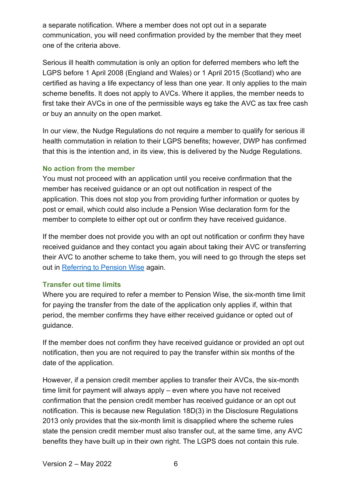a separate notification. Where a member does not opt out in a separate communication, you will need confirmation provided by the member that they meet one of the criteria above.

Serious ill health commutation is only an option for deferred members who left the LGPS before 1 April 2008 (England and Wales) or 1 April 2015 (Scotland) who are certified as having a life expectancy of less than one year. It only applies to the main scheme benefits. It does not apply to AVCs. Where it applies, the member needs to first take their AVCs in one of the permissible ways eg take the AVC as tax free cash or buy an annuity on the open market.

In our view, the Nudge Regulations do not require a member to qualify for serious ill health commutation in relation to their LGPS benefits; however, DWP has confirmed that this is the intention and, in its view, this is delivered by the Nudge Regulations.

### <span id="page-5-0"></span>**No action from the member**

You must not proceed with an application until you receive confirmation that the member has received guidance or an opt out notification in respect of the application. This does not stop you from providing further information or quotes by post or email, which could also include a Pension Wise declaration form for the member to complete to either opt out or confirm they have received guidance.

If the member does not provide you with an opt out notification or confirm they have received guidance and they contact you again about taking their AVC or transferring their AVC to another scheme to take them, you will need to go through the steps set out in [Referring to Pension Wise](#page-2-1) again.

### <span id="page-5-1"></span>**Transfer out time limits**

Where you are required to refer a member to Pension Wise, the six-month time limit for paying the transfer from the date of the application only applies if, within that period, the member confirms they have either received guidance or opted out of guidance.

If the member does not confirm they have received guidance or provided an opt out notification, then you are not required to pay the transfer within six months of the date of the application.

However, if a pension credit member applies to transfer their AVCs, the six-month time limit for payment will always apply – even where you have not received confirmation that the pension credit member has received guidance or an opt out notification. This is because new Regulation 18D(3) in the Disclosure Regulations 2013 only provides that the six-month limit is disapplied where the scheme rules state the pension credit member must also transfer out, at the same time, any AVC benefits they have built up in their own right. The LGPS does not contain this rule.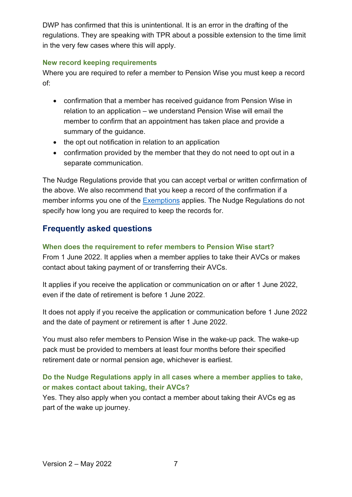DWP has confirmed that this is unintentional. It is an error in the drafting of the regulations. They are speaking with TPR about a possible extension to the time limit in the very few cases where this will apply.

### <span id="page-6-0"></span>**New record keeping requirements**

Where you are required to refer a member to Pension Wise you must keep a record of:

- confirmation that a member has received guidance from Pension Wise in relation to an application – we understand Pension Wise will email the member to confirm that an appointment has taken place and provide a summary of the guidance.
- the opt out notification in relation to an application
- confirmation provided by the member that they do not need to opt out in a separate communication.

The Nudge Regulations provide that you can accept verbal or written confirmation of the above. We also recommend that you keep a record of the confirmation if a member informs you one of the [Exemptions](#page-3-0) applies. The Nudge Regulations do not specify how long you are required to keep the records for.

# <span id="page-6-1"></span>**Frequently asked questions**

### **When does the requirement to refer members to Pension Wise start?**

From 1 June 2022. It applies when a member applies to take their AVCs or makes contact about taking payment of or transferring their AVCs.

It applies if you receive the application or communication on or after 1 June 2022, even if the date of retirement is before 1 June 2022.

It does not apply if you receive the application or communication before 1 June 2022 and the date of payment or retirement is after 1 June 2022.

You must also refer members to Pension Wise in the wake-up pack. The wake-up pack must be provided to members at least four months before their specified retirement date or normal pension age, whichever is earliest.

# **Do the Nudge Regulations apply in all cases where a member applies to take, or makes contact about taking, their AVCs?**

Yes. They also apply when you contact a member about taking their AVCs eg as part of the wake up journey.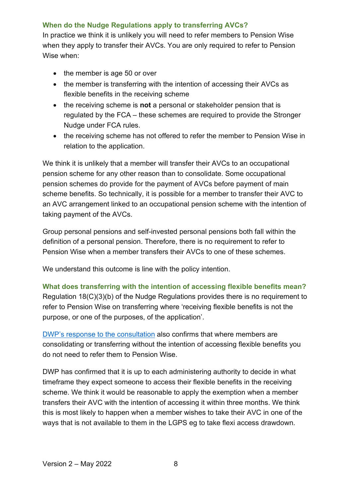### **When do the Nudge Regulations apply to transferring AVCs?**

In practice we think it is unlikely you will need to refer members to Pension Wise when they apply to transfer their AVCs. You are only required to refer to Pension Wise when:

- the member is age 50 or over
- the member is transferring with the intention of accessing their AVCs as flexible benefits in the receiving scheme
- the receiving scheme is **not** a personal or stakeholder pension that is regulated by the FCA – these schemes are required to provide the Stronger Nudge under FCA rules.
- the receiving scheme has not offered to refer the member to Pension Wise in relation to the application.

We think it is unlikely that a member will transfer their AVCs to an occupational pension scheme for any other reason than to consolidate. Some occupational pension schemes do provide for the payment of AVCs before payment of main scheme benefits. So technically, it is possible for a member to transfer their AVC to an AVC arrangement linked to an occupational pension scheme with the intention of taking payment of the AVCs.

Group personal pensions and self-invested personal pensions both fall within the definition of a personal pension. Therefore, there is no requirement to refer to Pension Wise when a member transfers their AVCs to one of these schemes.

We understand this outcome is line with the policy intention.

**What does transferring with the intention of accessing flexible benefits mean?** Regulation 18(C)(3)(b) of the Nudge Regulations provides there is no requirement to refer to Pension Wise on transferring where 'receiving [flexible benefits](https://perspective.info/documents/si-20132734/#si-20132734-li-2.1.27) is not the purpose, or one of the purposes, of the application'.

[DWP's response to the consultation](https://www.gov.uk/government/consultations/stronger-nudge-to-pensions-guidance/outcome/government-response-stronger-nudge-to-pensions-guidance) also confirms that where members are consolidating or transferring without the intention of accessing flexible benefits you do not need to refer them to Pension Wise.

DWP has confirmed that it is up to each administering authority to decide in what timeframe they expect someone to access their flexible benefits in the receiving scheme. We think it would be reasonable to apply the exemption when a member transfers their AVC with the intention of accessing it within three months. We think this is most likely to happen when a member wishes to take their AVC in one of the ways that is not available to them in the LGPS eg to take flexi access drawdown.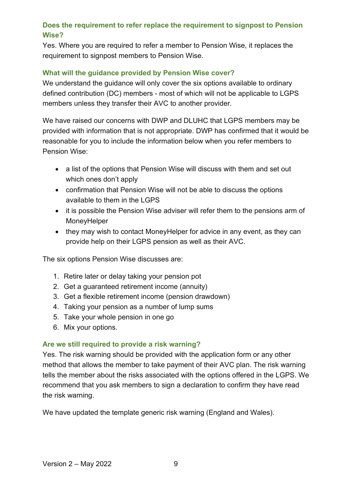# **Does the requirement to refer replace the requirement to signpost to Pension Wise?**

Yes. Where you are required to refer a member to Pension Wise, it replaces the requirement to signpost members to Pension Wise.

### **What will the guidance provided by Pension Wise cover?**

We understand the quidance will only cover the six options available to ordinary defined contribution (DC) members - most of which will not be applicable to LGPS members unless they transfer their AVC to another provider.

We have raised our concerns with DWP and DLUHC that LGPS members may be provided with information that is not appropriate. DWP has confirmed that it would be reasonable for you to include the information below when you refer members to Pension Wise:

- a list of the options that Pension Wise will discuss with them and set out which ones don't apply
- confirmation that Pension Wise will not be able to discuss the options available to them in the LGPS
- it is possible the Pension Wise adviser will refer them to the pensions arm of MoneyHelper
- they may wish to contact MoneyHelper for advice in any event, as they can provide help on their LGPS pension as well as their AVC.

The six options Pension Wise discusses are:

- 1. Retire later or delay taking your pension pot
- 2. Get a guaranteed retirement income (annuity)
- 3. Get a flexible retirement income (pension drawdown)
- 4. Taking your pension as a number of lump sums
- 5. Take your whole pension in one go
- 6. Mix your options.

### **Are we still required to provide a risk warning?**

Yes. The risk warning should be provided with the application form or any other method that allows the member to take payment of their AVC plan. The risk warning tells the member about the risks associated with the options offered in the LGPS. We recommend that you ask members to sign a declaration to confirm they have read the risk warning.

We have updated the template generic risk warning (England and Wales).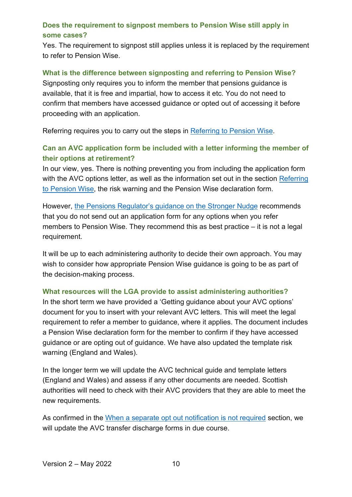### **Does the requirement to signpost members to Pension Wise still apply in some cases?**

Yes. The requirement to signpost still applies unless it is replaced by the requirement to refer to Pension Wise.

#### **What is the difference between signposting and referring to Pension Wise?**

Signposting only requires you to inform the member that pensions guidance is available, that it is free and impartial, how to access it etc. You do not need to confirm that members have accessed guidance or opted out of accessing it before proceeding with an application.

Referring requires you to carry out the steps in [Referring to Pension Wise.](#page-2-1)

# **Can an AVC application form be included with a letter informing the member of their options at retirement?**

In our view, yes. There is nothing preventing you from including the application form with the AVC options letter, as well as the information set out in the section Referring [to Pension Wise,](#page-2-1) the risk warning and the Pension Wise declaration form.

However, [the Pensions Regulator's guidance on the Stronger Nudge](https://www.thepensionsregulator.gov.uk/en/document-library/scheme-management-detailed-guidance/communications-and-reporting-detailed-guidance/6-communicating-and-reporting) recommends that you do not send out an application form for any options when you refer members to Pension Wise. They recommend this as best practice – it is not a legal requirement.

It will be up to each administering authority to decide their own approach. You may wish to consider how appropriate Pension Wise guidance is going to be as part of the decision-making process.

### **What resources will the LGA provide to assist administering authorities?**

In the short term we have provided a 'Getting guidance about your AVC options' document for you to insert with your relevant AVC letters. This will meet the legal requirement to refer a member to guidance, where it applies. The document includes a Pension Wise declaration form for the member to confirm if they have accessed guidance or are opting out of guidance. We have also updated the template risk warning (England and Wales).

In the longer term we will update the AVC technical guide and template letters (England and Wales) and assess if any other documents are needed. Scottish authorities will need to check with their AVC providers that they are able to meet the new requirements.

As confirmed in the [When a separate opt out notification is not required](#page-4-0) section, we will update the AVC transfer discharge forms in due course.